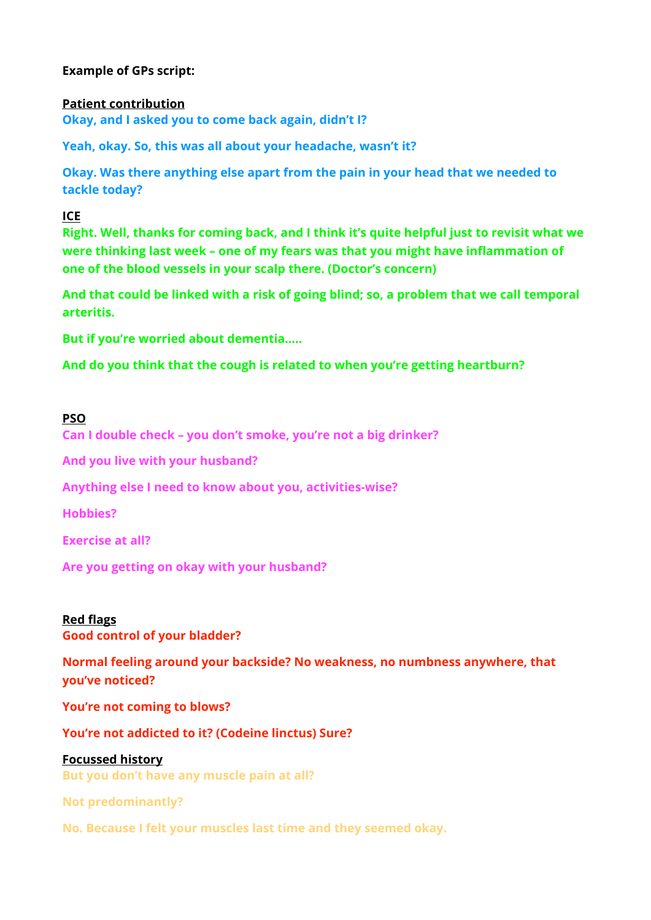# **Example of GPs script:**

#### **Patient contribution**

**Okay, and I asked you to come back again, didn't I?** 

**Yeah, okay. So, this was all about your headache, wasn't it?** 

**Okay. Was there anything else apart from the pain in your head that we needed to tackle today?** 

#### **ICE**

**Right. Well, thanks for coming back, and I think it's quite helpful just to revisit what we were thinking last week – one of my fears was that you might have inflammation of one of the blood vessels in your scalp there. (Doctor's concern)** 

**And that could be linked with a risk of going blind; so, a problem that we call temporal arteritis.**

**But if you're worried about dementia…..** 

**And do you think that the cough is related to when you're getting heartburn?** 

#### **PSO**

**Can I double check – you don't smoke, you're not a big drinker?** 

**And you live with your husband?** 

**Anything else I need to know about you, activities-wise?** 

**Hobbies?** 

**Exercise at all?**

**Are you getting on okay with your husband?**

## **Red flags**

**Good control of your bladder?** 

**Normal feeling around your backside? No weakness, no numbness anywhere, that you've noticed?** 

**You're not coming to blows?** 

**You're not addicted to it? (Codeine linctus) Sure?** 

## **Focussed history**

**But you don't have any muscle pain at all?** 

**Not predominantly?** 

**No. Because I felt your muscles last time and they seemed okay.**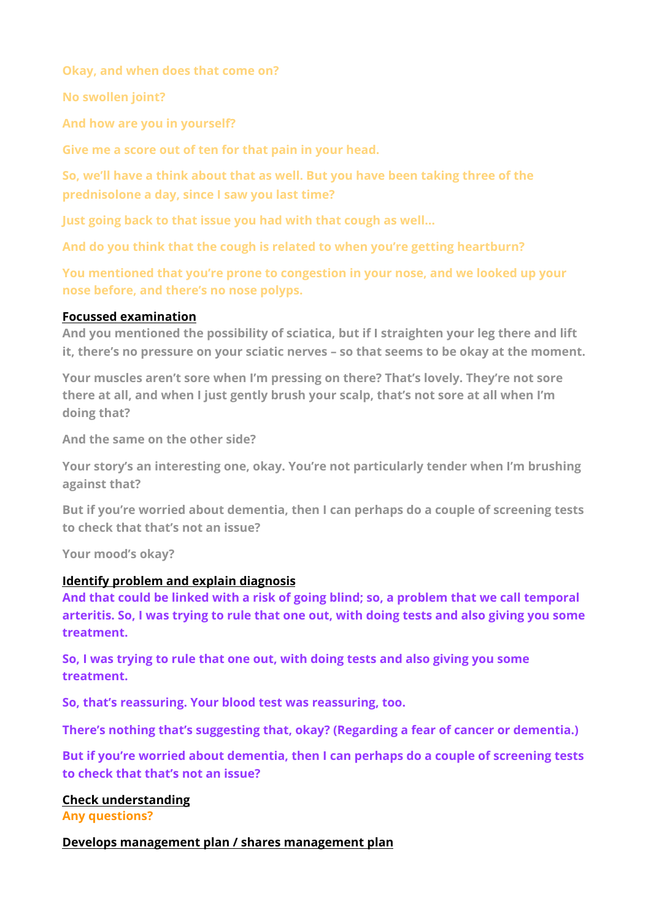**Okay, and when does that come on?** 

**No swollen joint?** 

**And how are you in yourself?** 

**Give me a score out of ten for that pain in your head.** 

**So, we'll have a think about that as well. But you have been taking three of the prednisolone a day, since I saw you last time?** 

**Just going back to that issue you had with that cough as well…** 

**And do you think that the cough is related to when you're getting heartburn?** 

**You mentioned that you're prone to congestion in your nose, and we looked up your nose before, and there's no nose polyps.**

## **Focussed examination**

**And you mentioned the possibility of sciatica, but if I straighten your leg there and lift it, there's no pressure on your sciatic nerves – so that seems to be okay at the moment.** 

**Your muscles aren't sore when I'm pressing on there? That's lovely. They're not sore there at all, and when I just gently brush your scalp, that's not sore at all when I'm doing that?** 

**And the same on the other side?** 

**Your story's an interesting one, okay. You're not particularly tender when I'm brushing against that?** 

**But if you're worried about dementia, then I can perhaps do a couple of screening tests to check that that's not an issue?** 

**Your mood's okay?**

## **Identify problem and explain diagnosis**

**And that could be linked with a risk of going blind; so, a problem that we call temporal arteritis. So, I was trying to rule that one out, with doing tests and also giving you some treatment.** 

**So, I was trying to rule that one out, with doing tests and also giving you some treatment.** 

**So, that's reassuring. Your blood test was reassuring, too.** 

**There's nothing that's suggesting that, okay? (Regarding a fear of cancer or dementia.)** 

**But if you're worried about dementia, then I can perhaps do a couple of screening tests to check that that's not an issue?** 

## **Check understanding**

**Any questions?** 

## **Develops management plan / shares management plan**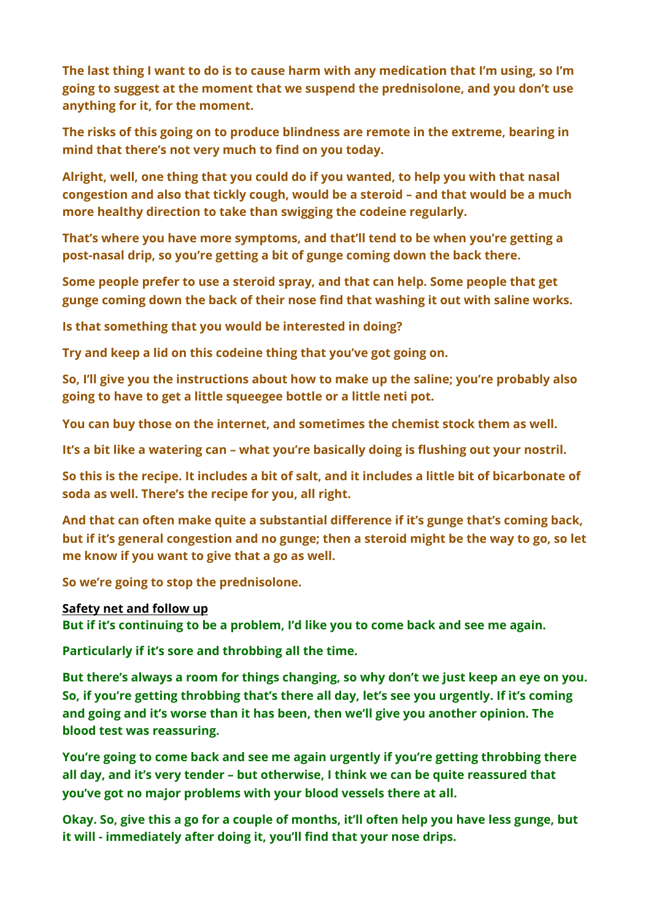**The last thing I want to do is to cause harm with any medication that I'm using, so I'm going to suggest at the moment that we suspend the prednisolone, and you don't use anything for it, for the moment.** 

**The risks of this going on to produce blindness are remote in the extreme, bearing in mind that there's not very much to find on you today.** 

**Alright, well, one thing that you could do if you wanted, to help you with that nasal congestion and also that tickly cough, would be a steroid – and that would be a much more healthy direction to take than swigging the codeine regularly.** 

**That's where you have more symptoms, and that'll tend to be when you're getting a post-nasal drip, so you're getting a bit of gunge coming down the back there.** 

**Some people prefer to use a steroid spray, and that can help. Some people that get gunge coming down the back of their nose find that washing it out with saline works.** 

**Is that something that you would be interested in doing?** 

**Try and keep a lid on this codeine thing that you've got going on.** 

**So, I'll give you the instructions about how to make up the saline; you're probably also going to have to get a little squeegee bottle or a little neti pot.** 

**You can buy those on the internet, and sometimes the chemist stock them as well.** 

**It's a bit like a watering can – what you're basically doing is flushing out your nostril.** 

**So this is the recipe. It includes a bit of salt, and it includes a little bit of bicarbonate of soda as well. There's the recipe for you, all right.** 

**And that can often make quite a substantial difference if it's gunge that's coming back, but if it's general congestion and no gunge; then a steroid might be the way to go, so let me know if you want to give that a go as well.** 

**So we're going to stop the prednisolone.** 

## **Safety net and follow up**

**But if it's continuing to be a problem, I'd like you to come back and see me again.** 

**Particularly if it's sore and throbbing all the time.** 

**But there's always a room for things changing, so why don't we just keep an eye on you. So, if you're getting throbbing that's there all day, let's see you urgently. If it's coming and going and it's worse than it has been, then we'll give you another opinion. The blood test was reassuring.** 

**You're going to come back and see me again urgently if you're getting throbbing there all day, and it's very tender – but otherwise, I think we can be quite reassured that you've got no major problems with your blood vessels there at all.** 

**Okay. So, give this a go for a couple of months, it'll often help you have less gunge, but it will - immediately after doing it, you'll find that your nose drips.**